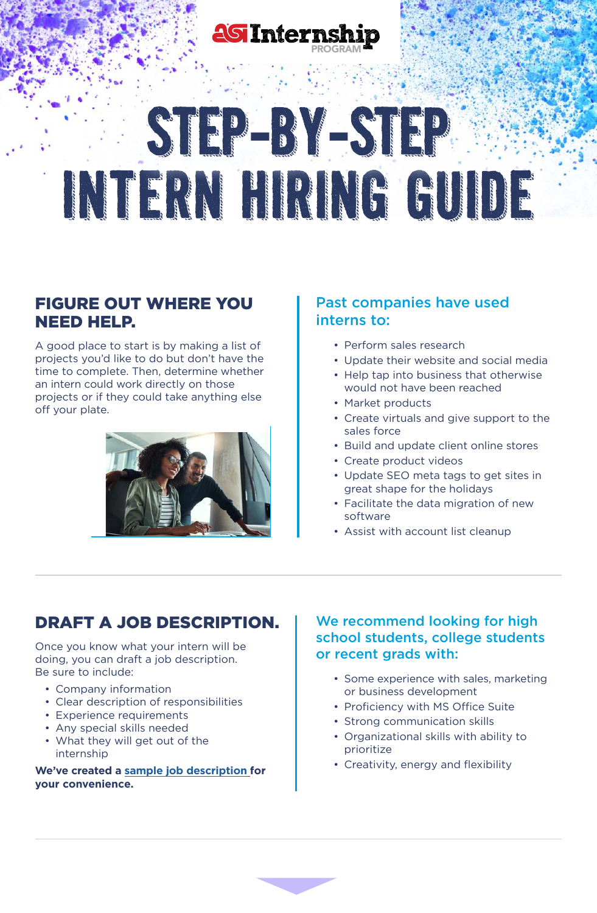

# STP-BY-STP INTERN HIRING GUIDE

## FIGURE OUT WHERE YOU NEED HELP.

A good place to start is by making a list of projects you'd like to do but don't have the time to complete. Then, determine whether an intern could work directly on those projects or if they could take anything else off your plate.



### Past companies have used interns to:

- Perform sales research
- Update their website and social media
- Help tap into business that otherwise would not have been reached
- Market products
- Create virtuals and give support to the sales force
- Build and update client online stores
- Create product videos
- Update SEO meta tags to get sites in great shape for the holidays
- Facilitate the data migration of new software
- Assist with account list cleanup

## DRAFT A JOB DESCRIPTION.

Once you know what your intern will be doing, you can draft a job description. Be sure to include:

- Company information
- Clear description of responsibilities
- Experience requirements
- Any special skills needed
- What they will get out of the internship

**We've created a [sample job description](http://cdn.asicentral.com/MKTGemails/401-6002/assets/doc/job-description.docx) for your convenience.**

#### We recommend looking for high school students, college students or recent grads with:

- Some experience with sales, marketing or business development
- Proficiency with MS Office Suite
- Strong communication skills
- Organizational skills with ability to prioritize
- Creativity, energy and flexibility

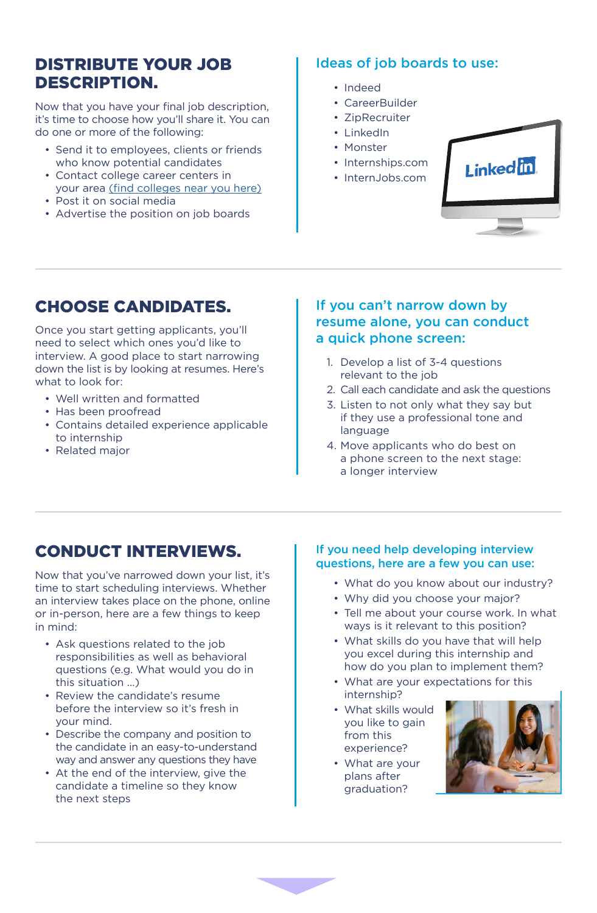## DISTRIBUTE YOUR JOB DESCRIPTION.

Now that you have your final job description, it's time to choose how you'll share it. You can do one or more of the following:

- Send it to employees, clients or friends who know potential candidates
- Contact college career centers in your area (find [colleges](https://nces.ed.gov/collegenavigator/) near you here)
- Post it on social media
- Advertise the position on job boards

### Ideas of job boards to use:

- Indeed
- CareerBuilder
- ZipRecruiter
- LinkedIn
- Monster
- Internships.com
- InternJobs.com



## CHOOSE CANDIDATES.

Once you start getting applicants, you'll need to select which ones you'd like to interview. A good place to start narrowing down the list is by looking at resumes. Here's what to look for:

- Well written and formatted
- Has been proofread
- Contains detailed experience applicable to internship
- Related major

#### If you can't narrow down by resume alone, you can conduct a quick phone screen:

- 1. Develop a list of 3-4 questions relevant to the job
- 2. Call each candidate and ask the questions
- 3. Listen to not only what they say but if they use a professional tone and language
- 4. Move applicants who do best on a phone screen to the next stage: a longer interview

## CONDUCT INTERVIEWS.

Now that you've narrowed down your list, it's time to start scheduling interviews. Whether an interview takes place on the phone, online or in-person, here are a few things to keep in mind:

- Ask questions related to the job responsibilities as well as behavioral questions (e.g. What would you do in this situation …)
- Review the candidate's resume before the interview so it's fresh in your mind.
- Describe the company and position to the candidate in an easy-to-understand way and answer any questions they have
- At the end of the interview, give the candidate a timeline so they know the next steps

#### If you need help developing interview questions, here are a few you can use:

- What do you know about our industry?
- Why did you choose your major?
- Tell me about your course work. In what ways is it relevant to this position?
- What skills do you have that will help you excel during this internship and how do you plan to implement them?
- What are your expectations for this internship?
- What skills would you like to gain from this experience?
- What are your plans after graduation?